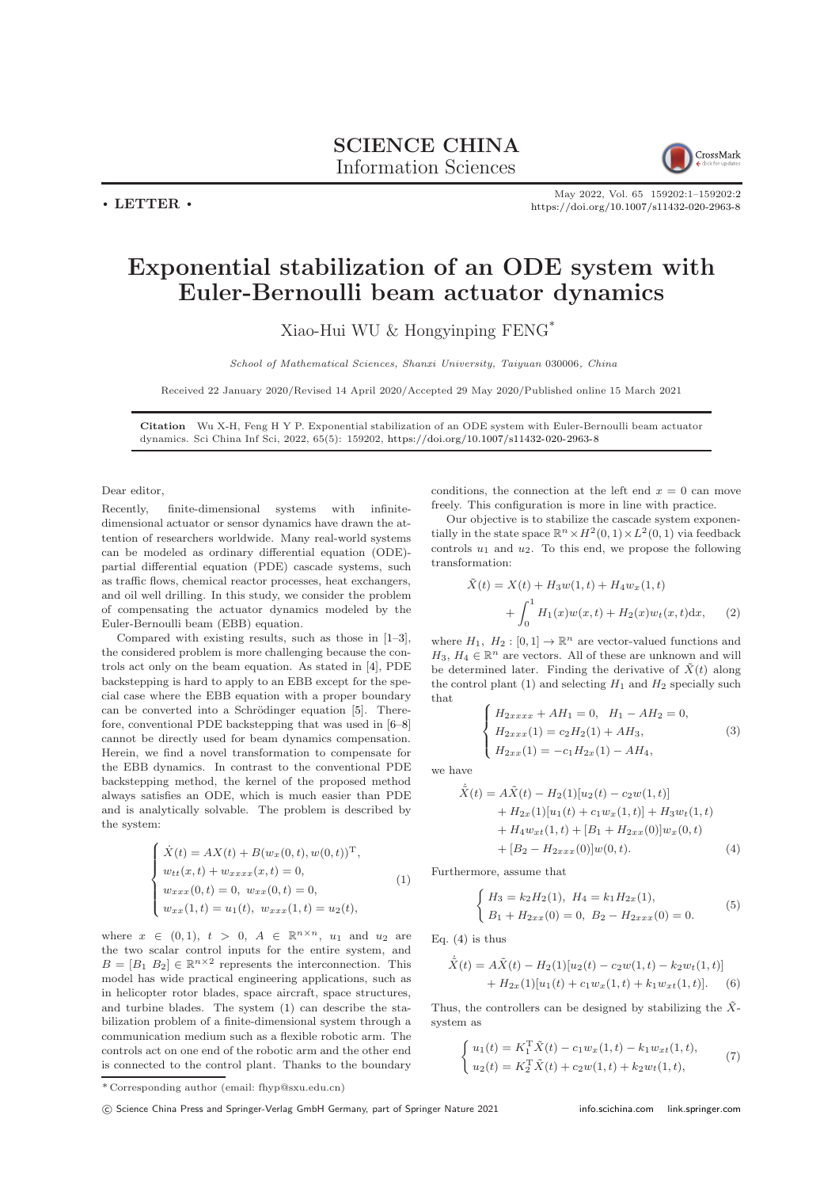## SCIENCE CHINA Information Sciences



 $\cdot$  LETTER  $\cdot$ 

May 2022, Vol. 65 159202:1–159202[:2](#page-1-0) <https://doi.org/10.1007/s11432-020-2963-8>

## Exponential stabilization of an ODE system with Euler-Bernoulli beam actuator dynamics

Xiao-Hui WU & Hongyinping FENG\*

School of Mathematical Sciences, Shanxi University, Taiyuan 030006, China

Received 22 January 2020/Revised 14 April 2020/Accepted 29 May 2020/Published online 15 March 2021

Citation Wu X-H, Feng H Y P. Exponential stabilization of an ODE system with Euler-Bernoulli beam actuator dynamics. Sci China Inf Sci, 2022, 65(5): 159202, <https://doi.org/10.1007/s11432-020-2963-8>

Dear editor,

Recently, finite-dimensional systems with infinitedimensional actuator or sensor dynamics have drawn the attention of researchers worldwide. Many real-world systems can be modeled as ordinary differential equation (ODE) partial differential equation (PDE) cascade systems, such as traffic flows, chemical reactor processes, heat exchangers, and oil well drilling. In this study, we consider the problem of compensating the actuator dynamics modeled by the Euler-Bernoulli beam (EBB) equation.

Compared with existing results, such as those in [\[1–](#page-1-1)[3\]](#page-1-2), the considered problem is more challenging because the controls act only on the beam equation. As stated in [\[4\]](#page-1-3), PDE backstepping is hard to apply to an EBB except for the special case where the EBB equation with a proper boundary can be converted into a Schrödinger equation [\[5\]](#page-1-4). Therefore, conventional PDE backstepping that was used in [\[6](#page-1-5)[–8\]](#page-1-6) cannot be directly used for beam dynamics compensation. Herein, we find a novel transformation to compensate for the EBB dynamics. In contrast to the conventional PDE backstepping method, the kernel of the proposed method always satisfies an ODE, which is much easier than PDE and is analytically solvable. The problem is described by the system:

<span id="page-0-0"></span>
$$
\begin{cases}\n\dot{X}(t) = AX(t) + B(w_x(0, t), w(0, t))^{\mathrm{T}},\\ \nw_{tt}(x, t) + w_{xxxx}(x, t) = 0, \\ \nw_{xxx}(0, t) = 0, \ w_{xx}(0, t) = 0, \\ \nw_{xx}(1, t) = u_1(t), \ w_{xxx}(1, t) = u_2(t),\n\end{cases}
$$
\n(1)

where  $x \in (0,1)$ ,  $t > 0$ ,  $A \in \mathbb{R}^{n \times n}$ ,  $u_1$  and  $u_2$  are the two scalar control inputs for the entire system, and  $B = [B_1 \ B_2] \in \mathbb{R}^{n \times 2}$  represents the interconnection. This model has wide practical engineering applications, such as in helicopter rotor blades, space aircraft, space structures, and turbine blades. The system [\(1\)](#page-0-0) can describe the stabilization problem of a finite-dimensional system through a communication medium such as a flexible robotic arm. The controls act on one end of the robotic arm and the other end is connected to the control plant. Thanks to the boundary

conditions, the connection at the left end  $x = 0$  can move freely. This configuration is more in line with practice.

Our objective is to stabilize the cascade system exponentially in the state space  $\mathbb{R}^n \times H^2(0,1) \times L^2(0,1)$  via feedback controls  $u_1$  and  $u_2$ . To this end, we propose the following transformation:

<span id="page-0-4"></span>
$$
\tilde{X}(t) = X(t) + H_3 w(1, t) + H_4 w_x(1, t) + \int_0^1 H_1(x) w(x, t) + H_2(x) w_t(x, t) dx,
$$
 (2)

where  $H_1$ ,  $H_2 : [0,1] \to \mathbb{R}^n$  are vector-valued functions and  $H_3, H_4 \in \mathbb{R}^n$  are vectors. All of these are unknown and will be determined later. Finding the derivative of  $\tilde{X}(t)$  along the control plant [\(1\)](#page-0-0) and selecting  $H_1$  and  $H_2$  specially such that

<span id="page-0-2"></span>
$$
\begin{cases}\nH_{2xxxx} + AH_1 = 0, & H_1 - AH_2 = 0, \\
H_{2xxx}(1) = c_2H_2(1) + AH_3, \\
H_{2xx}(1) = -c_1H_{2x}(1) - AH_4,\n\end{cases}
$$
\n(3)

we have

$$
\dot{\tilde{X}}(t) = A\tilde{X}(t) - H_2(1)[u_2(t) - c_2w(1, t)] \n+ H_{2x}(1)[u_1(t) + c_1w_x(1, t)] + H_3w_t(1, t) \n+ H_4w_{xt}(1, t) + [B_1 + H_{2xx}(0)]w_x(0, t) \n+ [B_2 - H_{2xxx}(0)]w(0, t).
$$
\n(4)

Furthermore, assume that

<span id="page-0-3"></span><span id="page-0-1"></span>
$$
\begin{cases}\nH_3 = k_2 H_2(1), \ H_4 = k_1 H_{2x}(1), \\
B_1 + H_{2xx}(0) = 0, \ B_2 - H_{2xxx}(0) = 0.\n\end{cases}
$$
\n(5)

Eq.  $(4)$  is thus

$$
\dot{\tilde{X}}(t) = A\tilde{X}(t) - H_2(1)[u_2(t) - c_2w(1, t) - k_2w_t(1, t)] + H_{2x}(1)[u_1(t) + c_1w_x(1, t) + k_1w_{xt}(1, t)].
$$
 (6)

Thus, the controllers can be designed by stabilizing the  $\tilde{X}$ system as

$$
\begin{cases}\nu_1(t) = K_1^{\mathrm{T}} \tilde{X}(t) - c_1 w_x(1, t) - k_1 w_{xt}(1, t), \\
u_2(t) = K_2^{\mathrm{T}} \tilde{X}(t) + c_2 w(1, t) + k_2 w_t(1, t),\n\end{cases} (7)
$$

<sup>\*</sup> Corresponding author (email: fhyp@sxu.edu.cn)

<sup>(</sup>C) Science China Press and Springer-Verlag GmbH Germany, part of Springer Nature 2021 <info.scichina.com><link.springer.com>